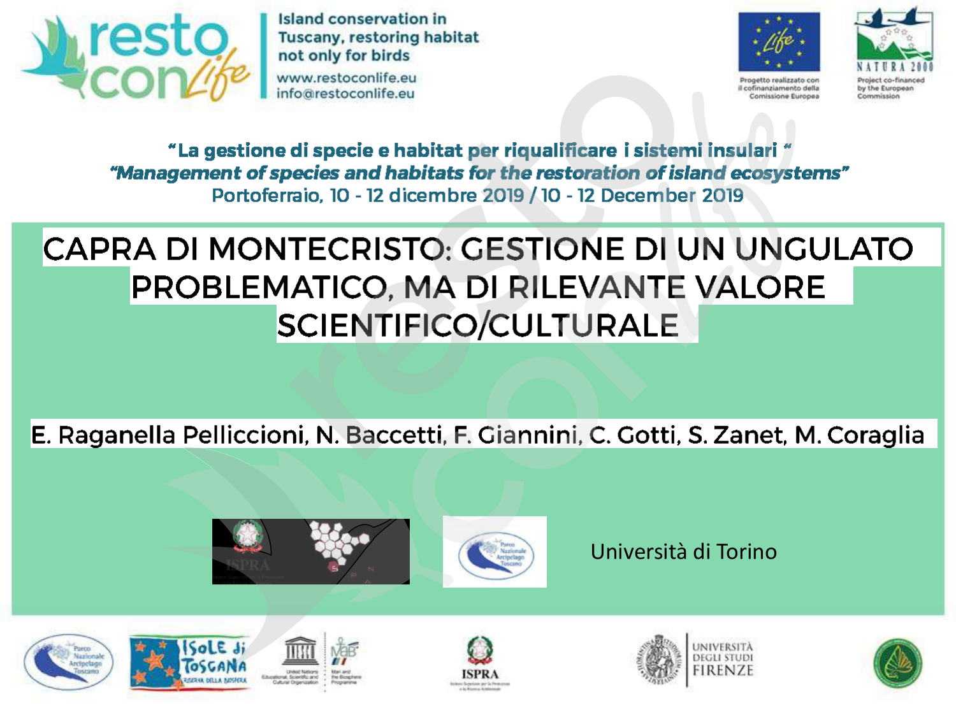

Island conservation in **Tuscany, restoring habitat** not only for birds

www.restoconlife.eu info@restoconlife.eu





Progetto realizzato con il cofinanziamento della Comissione Europea by the European Commission

"La gestione di specie e habitat per riqualificare i sistemi insulari " "Management of species and habitats for the restoration of island ecosystems" Portoferraio, 10 - 12 dicembre 2019 / 10 - 12 December 2019

#### CAPRA DI MONTECRISTO: GESTIONE DI UN UNGULATO PROBLEMATICO, MA DI RILEVANTE VALORE **SCIENTIFICO/CULTURALE**

E. Raganella Pelliccioni, N. Baccetti, F. Giannini, C. Gotti, S. Zanet, M. Coraglia





Università di Torino











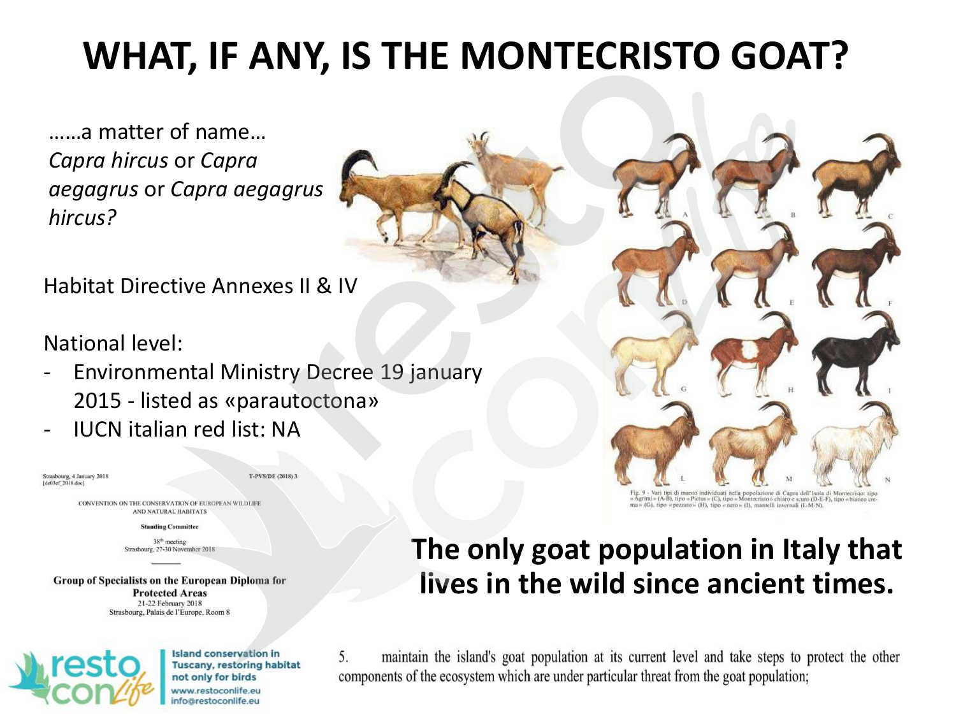## **WHAT, IF ANY, IS THE MONTECRISTO GOAT?**

……a matter of name… *Capra hircus* or *Capra aegagrus* or *Capra aegagrus hircus?* 

Habitat Directive Annexes II & IV

National level:

- Environmental Ministry Decree 19 january 2015 - listed as «parautoctona»
- IUCN italian red list: NA

Strasbourg, 4 January 2018  $[de03ef 2018, doc]$ 

**T-PVS/DE (2018) 3** 

CONVENTION ON THE CONSERVATION OF EUROPEAN WILDLIFE AND NATURAL HABITATS

**Standing Committee** 

38<sup>th</sup> meeting Strasbourg, 27-30 November 2018

Group of Specialists on the European Diploma for **Protected Areas** 21-22 February 2018 Strasbourg, Palais de l'Europe, Room 8



**Island conservation in Tuscany, restoring habitat** not only for birds www.restoconlife.eu nfo@restoconlife.eu

#### **The only goat population in Italy that lives in the wild since ancient times.**

maintain the island's goat population at its current level and take steps to protect the other  $5.$ components of the ecosystem which are under particular threat from the goat population;

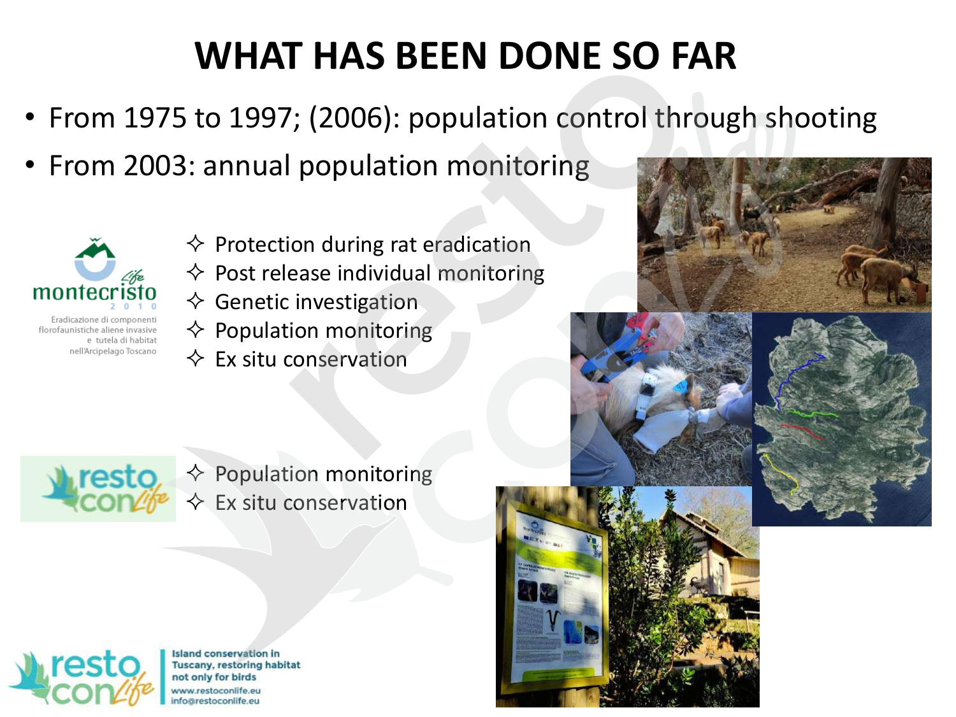## **WHAT HAS BEEN DONE SO FAR**

- From 1975 to 1997; (2006): population control through shooting
- From 2003: annual population monitoring



florofaunistiche aliene invasive e tutela di habitat nell'Arcipelago Toscano

- $\diamond$  Protection during rat eradication
- $\diamond$  Post release individual monitoring
- $\diamondsuit$  Genetic investigation
- $\diamond$  Population monitoring
- $\Leftrightarrow$  Ex situ conservation









 $\Leftrightarrow$  Population monitoring  $\Leftrightarrow$  Ex situ conservation



**Island conservation in Tuscany, restoring habitat** not only for birds www.restoconlife.eu nfo@restoconlife.eu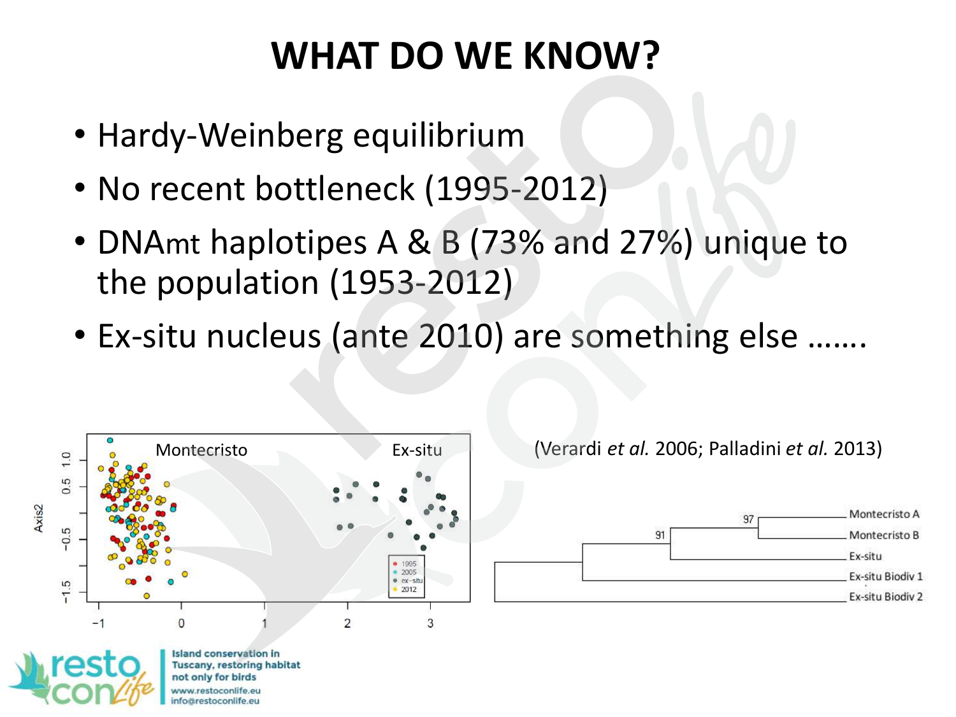- Hardy-Weinberg equilibrium
- No recent bottleneck (1995-2012)
- DNAmt haplotipes A & B (73% and 27%) unique to the population (1953-2012)
- Ex-situ nucleus (ante 2010) are something else …….



**Tuscany, restoring habitat** not only for birds fo@restoconlife.eu

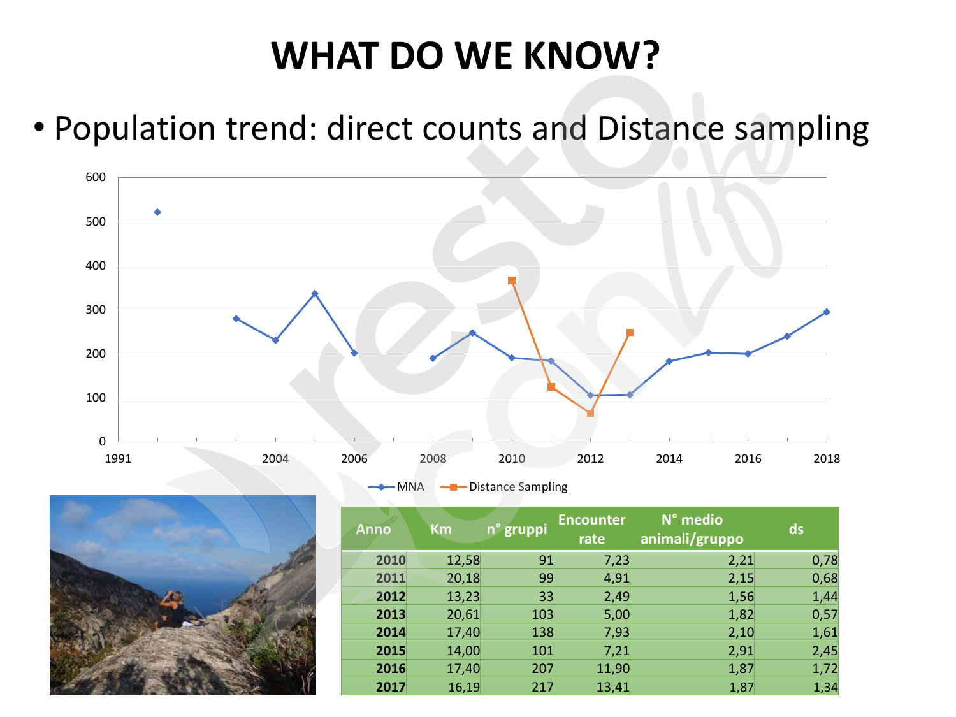#### • Population trend: direct counts and Distance sampling



-MNA -Distance Sampling



| <b>Anno</b> | <b>Km</b> | n° gruppi | <b>Encounter</b><br>rate | N° medio<br>animali/gruppo | ds   |
|-------------|-----------|-----------|--------------------------|----------------------------|------|
| 2010        | 12,58     | 91        | 7,23                     | 2,21                       | 0,78 |
| 2011        | 20,18     | 99        | 4,91                     | 2,15                       | 0,68 |
| 2012        | 13,23     | 33        | 2,49                     | 1,56                       | 1,44 |
| 2013        | 20,61     | 103       | 5,00                     | 1,82                       | 0,57 |
| 2014        | 17,40     | 138       | 7,93                     | 2,10                       | 1,61 |
| 2015        | 14,00     | 101       | 7,21                     | 2,91                       | 2,45 |
| 2016        | 17,40     | 207       | 11,90                    | 1,87                       | 1,72 |
| 2017        | 16,19     | 217       | 13,41                    | 1,87                       | 1,34 |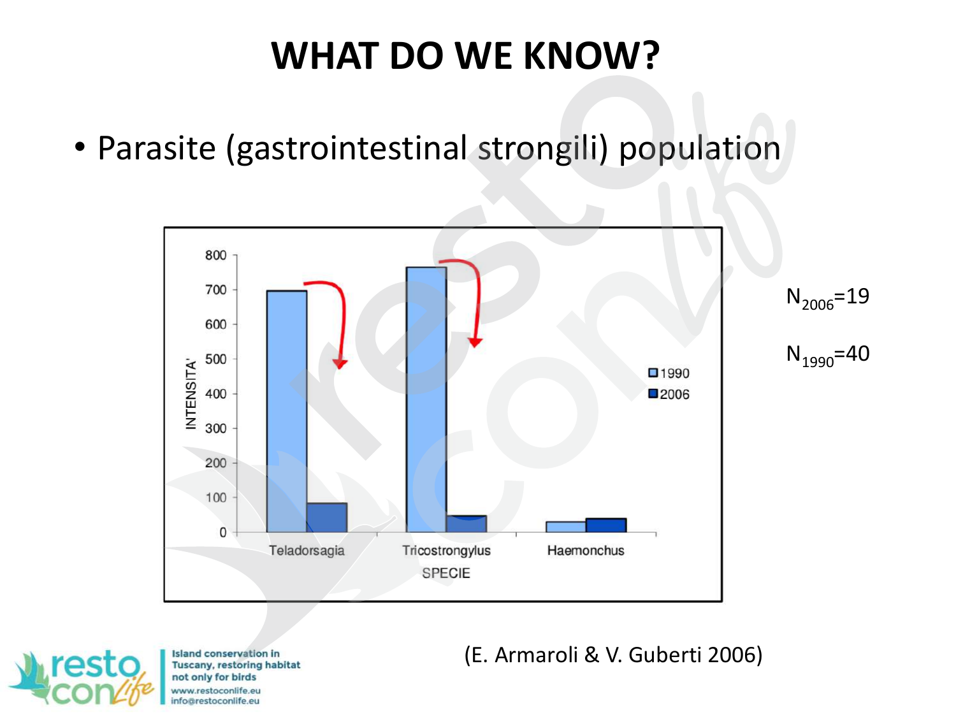• Parasite (gastrointestinal strongili) population





**Island conservation in Tuscany, restoring habitat** not only for birds ww.restoconlife.eu fo@restoconlife.eu

(E. Armaroli & V. Guberti 2006)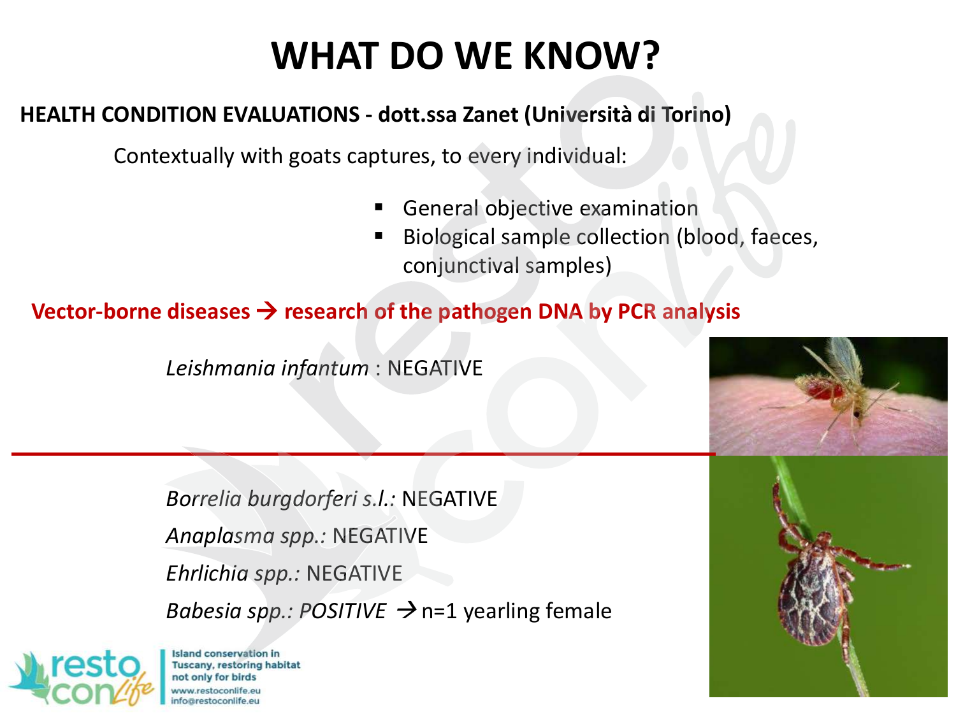#### **HEALTH CONDITION EVALUATIONS - dott.ssa Zanet (Università di Torino)**

Contextually with goats captures, to every individual:

- General objective examination
- Biological sample collection (blood, faeces, conjunctival samples)

#### **Vector-borne diseases research of the pathogen DNA by PCR analysis**

*Leishmania infantum* : NEGATIVE

*Borrelia burgdorferi s.l.:* NEGATIVE *Anaplasma spp.:* NEGATIVE *Ehrlichia spp.:* NEGATIVE *Babesia spp.: POSITIVE*  $\rightarrow$  n=1 yearling female



**Island conservation in Tuscany, restoring habitat** not only for birds ww.restoconlife.eu fo@restoconlife.eu

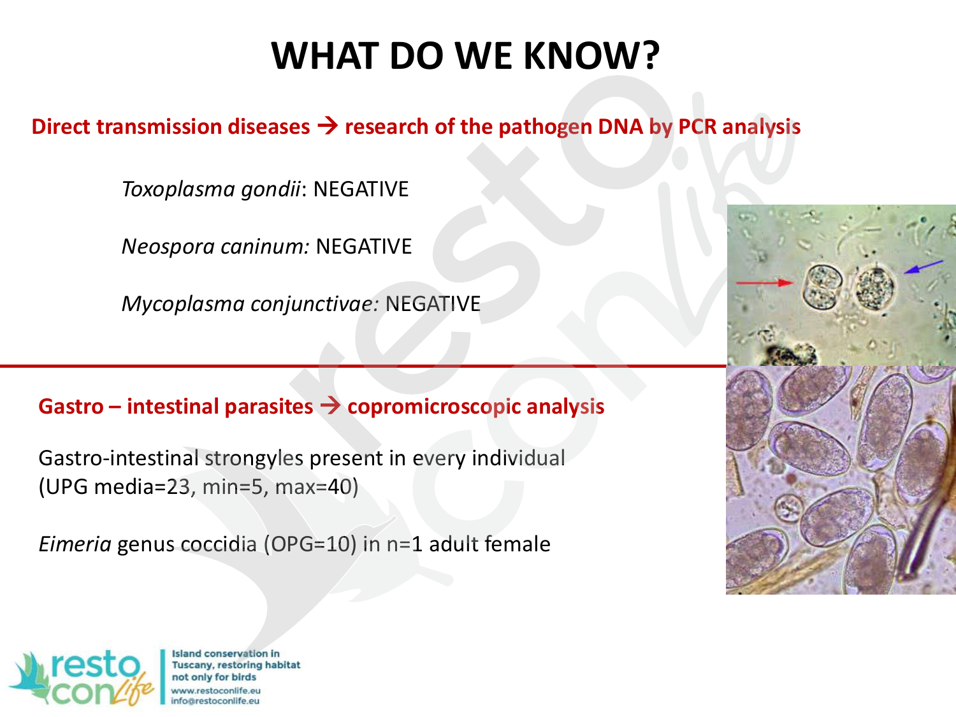#### Direct transmission diseases → research of the pathogen DNA by PCR analysis

*Toxoplasma gondii*: NEGATIVE

*Neospora caninum:* NEGATIVE

*Mycoplasma conjunctivae:* NEGATIVE

#### **Gastro – intestinal parasites copromicroscopic analysis**

Gastro-intestinal strongyles present in every individual (UPG media=23, min=5, max=40)

*Eimeria* genus coccidia (OPG=10) in n=1 adult female





**Island conservation in Tuscany, restoring habitat** not only for birds ww.restoconlife.eu fo@restoconlife.eu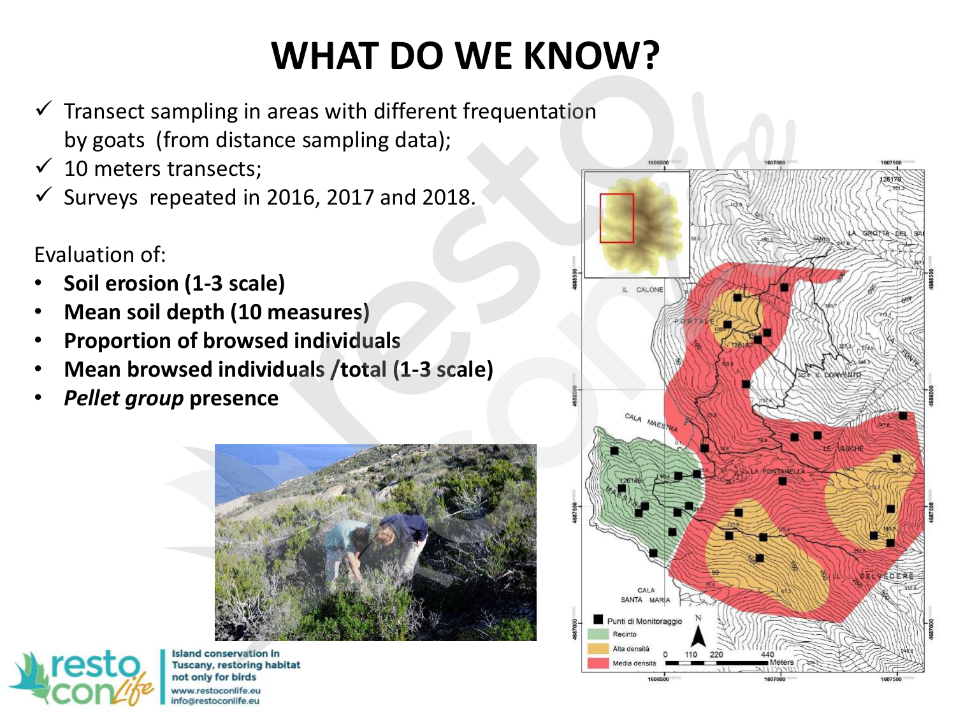- $\checkmark$  Transect sampling in areas with different frequentation by goats (from distance sampling data);
- $\checkmark$  10 meters transects;
- $\checkmark$  Surveys repeated in 2016, 2017 and 2018.

Evaluation of:

- **Soil erosion (1-3 scale)**
- **Mean soil depth (10 measures)**
- **Proportion of browsed individuals**
- **Mean browsed individuals /total (1-3 scale)**
- *Pellet group* **presence**





**Island conservation in Tuscany, restoring habitat** not only for birds www.restoconlife.eu nfo@restoconlife.eu

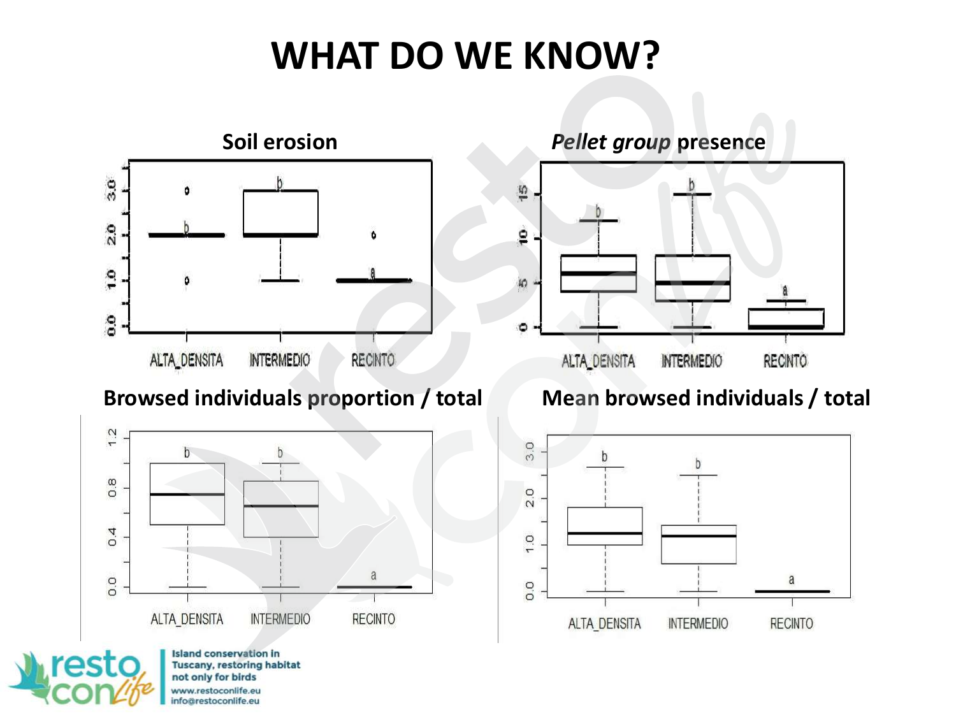

#### **Browsed individuals proportion / total Mean browsed individuals / total**



**Island conservation in** rast **Tuscany, restoring habitat** not only for birds www.restoconlife.eu info@restoconlife.eu

#### *Pellet group* **presence**



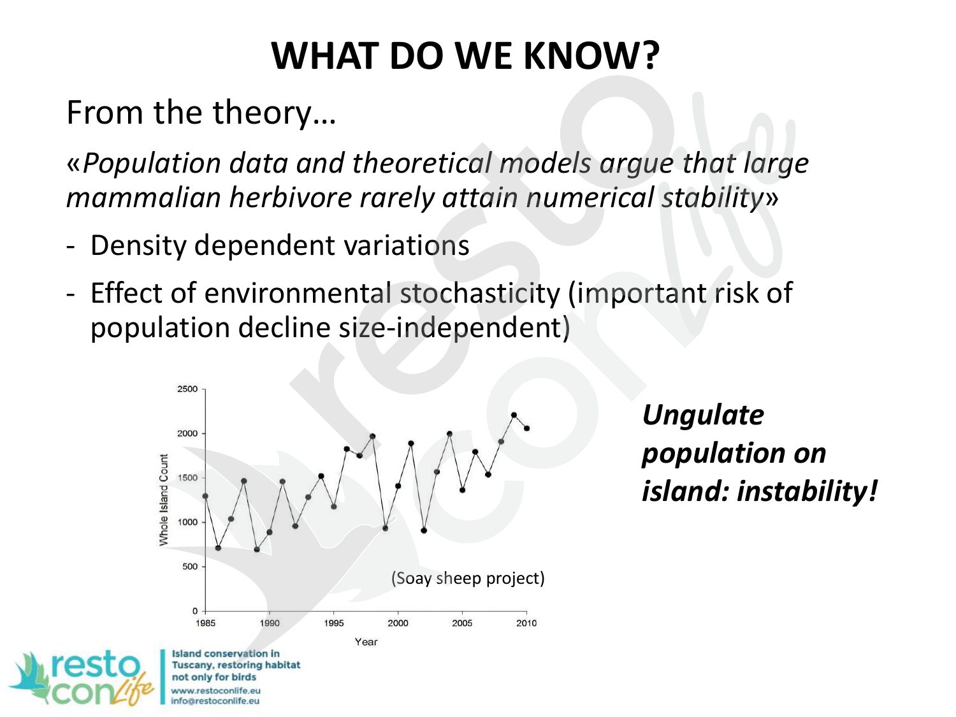From the theory…

«*Population data and theoretical models argue that large mammalian herbivore rarely attain numerical stability*»

- Density dependent variations
- Effect of environmental stochasticity (important risk of population decline size-independent)



*Ungulate population on island: instability!*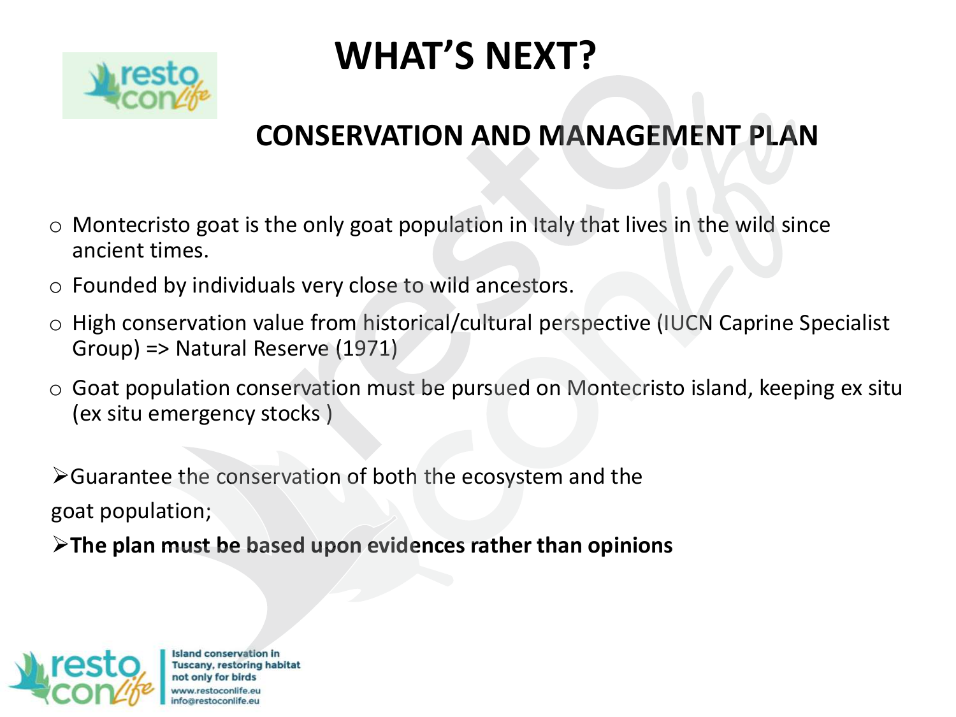

## **WHAT'S NEXT?**

#### **CONSERVATION AND MANAGEMENT PLAN**

- $\circ$  Montecristo goat is the only goat population in Italy that lives in the wild since ancient times.
- o Founded by individuals very close to wild ancestors.
- o High conservation value from historical/cultural perspective (IUCN Caprine Specialist Group) => Natural Reserve (1971)
- o Goat population conservation must be pursued on Montecristo island, keeping ex situ (ex situ emergency stocks )

Guarantee the conservation of both the ecosystem and the goat population;

**The plan must be based upon evidences rather than opinions** 



**Island conservation in** Tuscany, restoring habitat not only for birds restoconlife.eu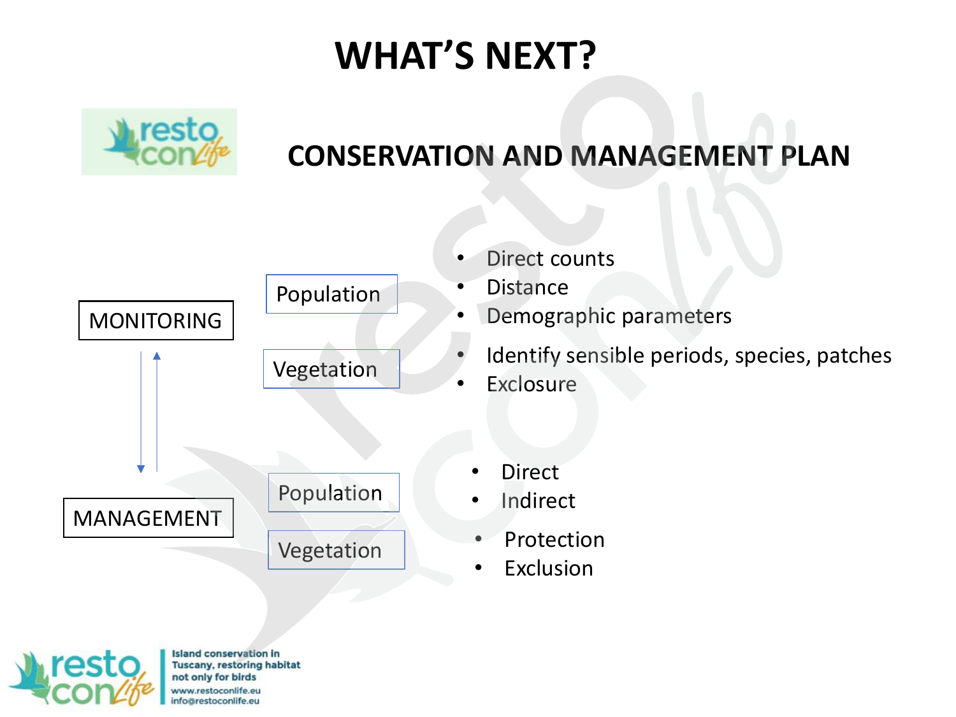## **WHAT'S NEXT?**



#### **CONSERVATION AND MANAGEMENT PLAN**



**Island conservation in Tuscany, restoring habitat** not only for birds www.restoconlife.eu fo@restoconlife.eu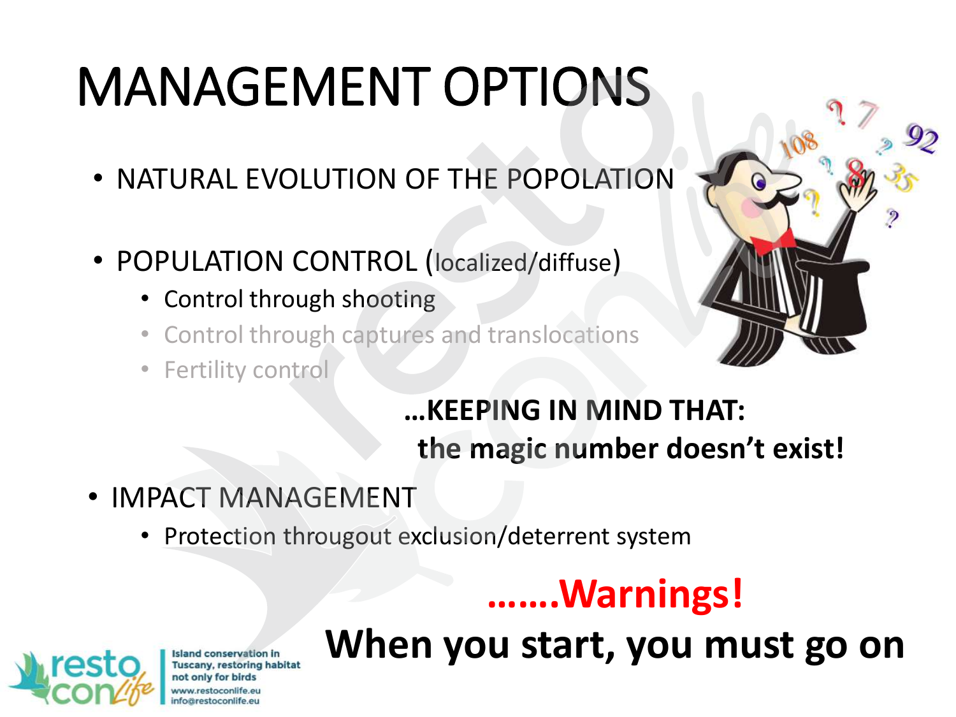# MANAGEMENT OPTIONS

- NATURAL EVOLUTION OF THE POPOLATION
- POPULATION CONTROL (localized/diffuse)
	- Control through shooting
	- Control through captures and translocations
	- Fertility control



#### **…KEEPING IN MIND THAT: the magic number doesn't exist!**

- IMPACT MANAGEMENT
	- Protection througout exclusion/deterrent system

## **…….Warnings!**

**Island conservation in** Tuscany, restoring habitat not only for birds pärestoconlife.eu

## **When you start, you must go on**